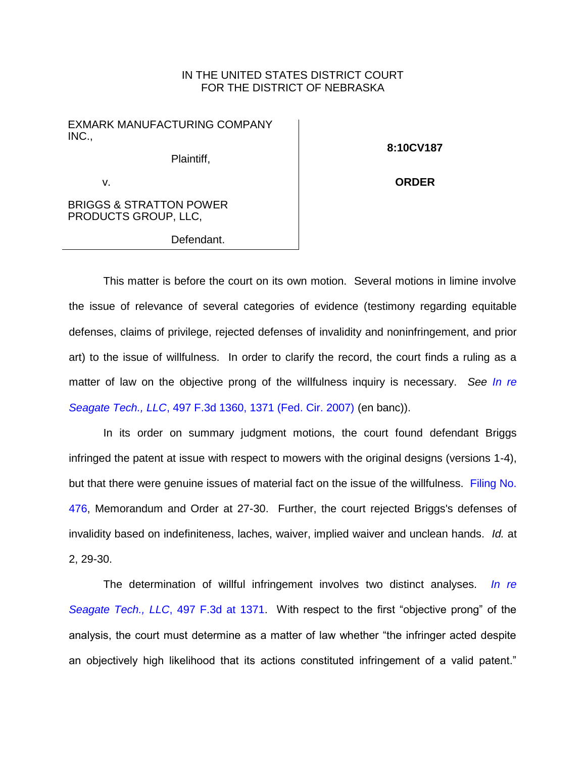## IN THE UNITED STATES DISTRICT COURT FOR THE DISTRICT OF NEBRASKA

EXMARK MANUFACTURING COMPANY INC.,

Plaintiff,

**8:10CV187**

**ORDER**

v.

BRIGGS & STRATTON POWER PRODUCTS GROUP, LLC,

Defendant.

This matter is before the court on its own motion. Several motions in limine involve the issue of relevance of several categories of evidence (testimony regarding equitable defenses, claims of privilege, rejected defenses of invalidity and noninfringement, and prior art) to the issue of willfulness. In order to clarify the record, the court finds a ruling as a matter of law on the objective prong of the willfulness inquiry is necessary. *See [In re](https://www.westlaw.com/Document/Ib85062014f3c11dcab5dc95700b89bde/View/FullText.html?transitionType=Default&contextData=(sc.Default)&VR=3.0&RS=da3.0&fragmentIdentifier=co_pp_sp_506_1371)  Seagate Tech., LLC*[, 497 F.3d 1360, 1371 \(Fed. Cir. 2007\)](https://www.westlaw.com/Document/Ib85062014f3c11dcab5dc95700b89bde/View/FullText.html?transitionType=Default&contextData=(sc.Default)&VR=3.0&RS=da3.0&fragmentIdentifier=co_pp_sp_506_1371) (en banc)).

In its order on summary judgment motions, the court found defendant Briggs infringed the patent at issue with respect to mowers with the original designs (versions 1-4), but that there were genuine issues of material fact on the issue of the willfulness. Filing No. [476,](https://ecf.ned.uscourts.gov/doc1/11313325338) Memorandum and Order at 27-30. Further, the court rejected Briggs's defenses of invalidity based on indefiniteness, laches, waiver, implied waiver and unclean hands. *Id.* at 2, 29-30.

The determination of willful infringement involves two distinct analyses. *[In re](https://www.westlaw.com/Document/Ib85062014f3c11dcab5dc95700b89bde/View/FullText.html?transitionType=Default&contextData=(sc.Default)&VR=3.0&RS=da3.0&fragmentIdentifier=co_pp_sp_506_1371)  [Seagate Tech., LLC](https://www.westlaw.com/Document/Ib85062014f3c11dcab5dc95700b89bde/View/FullText.html?transitionType=Default&contextData=(sc.Default)&VR=3.0&RS=da3.0&fragmentIdentifier=co_pp_sp_506_1371)*, 497 F.3d at 1371. With respect to the first "objective prong" of the analysis, the court must determine as a matter of law whether "the infringer acted despite an objectively high likelihood that its actions constituted infringement of a valid patent."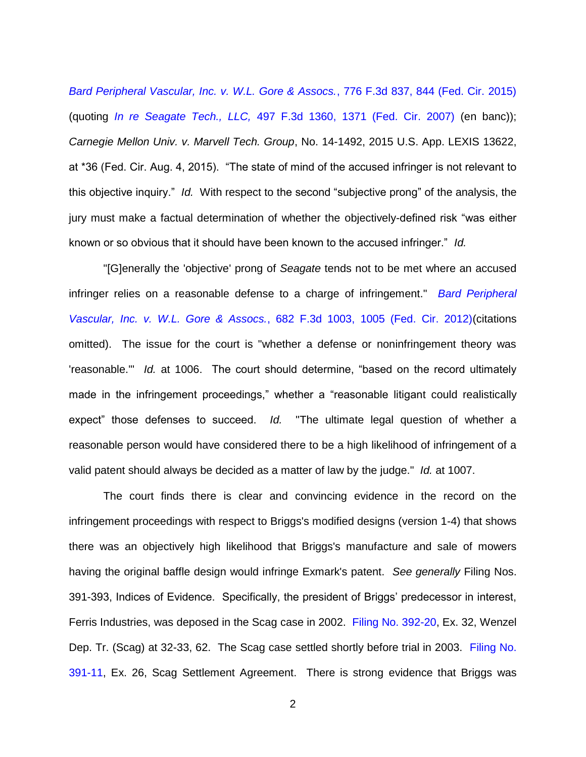*[Bard Peripheral Vascular, Inc. v. W.L. Gore & Assocs.](https://www.westlaw.com/Document/I2a6b8f349b2311e4b4bafa136b480ad2/View/FullText.html?transitionType=Default&contextData=(sc.Default)&VR=3.0&RS=da3.0&fragmentIdentifier=co_pp_sp_506_844)*, 776 F.3d 837, 844 (Fed. Cir. 2015) (quoting *In re Seagate Tech., LLC,* [497 F.3d 1360, 1371 \(Fed. Cir. 2007\)](https://www.westlaw.com/Document/Ib85062014f3c11dcab5dc95700b89bde/View/FullText.html?transitionType=Default&contextData=(sc.Default)&VR=3.0&RS=da3.0&fragmentIdentifier=co_pp_sp_506_1371) (en banc)); *Carnegie Mellon Univ. v. Marvell Tech. Group*, No. 14-1492, 2015 U.S. App. LEXIS 13622, at \*36 (Fed. Cir. Aug. 4, 2015). "The state of mind of the accused infringer is not relevant to this objective inquiry." *Id.* With respect to the second "subjective prong" of the analysis, the jury must make a factual determination of whether the objectively-defined risk "was either known or so obvious that it should have been known to the accused infringer." *Id.*

"[G]enerally the 'objective' prong of *Seagate* tends not to be met where an accused infringer relies on a reasonable defense to a charge of infringement." *[Bard Peripheral](https://www.westlaw.com/Document/I853a9793b63f11e1b343c837631e1747/View/FullText.html?transitionType=Default&contextData=(sc.Default)&VR=3.0&RS=da3.0&fragmentIdentifier=co_pp_sp_506_1005)  Vascular, Inc. v. W.L. Gore & Assocs.*[, 682 F.3d 1003, 1005 \(Fed. Cir. 2012\)\(](https://www.westlaw.com/Document/I853a9793b63f11e1b343c837631e1747/View/FullText.html?transitionType=Default&contextData=(sc.Default)&VR=3.0&RS=da3.0&fragmentIdentifier=co_pp_sp_506_1005)citations omitted). The issue for the court is "whether a defense or noninfringement theory was 'reasonable.'" *Id.* at 1006. The court should determine, "based on the record ultimately made in the infringement proceedings," whether a "reasonable litigant could realistically expect" those defenses to succeed. *Id.* "The ultimate legal question of whether a reasonable person would have considered there to be a high likelihood of infringement of a valid patent should always be decided as a matter of law by the judge." *Id.* at 1007.

The court finds there is clear and convincing evidence in the record on the infringement proceedings with respect to Briggs's modified designs (version 1-4) that shows there was an objectively high likelihood that Briggs's manufacture and sale of mowers having the original baffle design would infringe Exmark's patent. *See generally* Filing Nos. 391-393, Indices of Evidence. Specifically, the president of Briggs' predecessor in interest, Ferris Industries, was deposed in the Scag case in 2002. [Filing No. 392-20,](https://ecf.ned.uscourts.gov/doc1/11313231243) Ex. 32, Wenzel Dep. Tr. (Scag) at 32-33, 62. The Scag case settled shortly before trial in 2003. [Filing No.](https://ecf.ned.uscourts.gov/doc1/11313231204)  [391-11,](https://ecf.ned.uscourts.gov/doc1/11313231204) Ex. 26, Scag Settlement Agreement. There is strong evidence that Briggs was

2